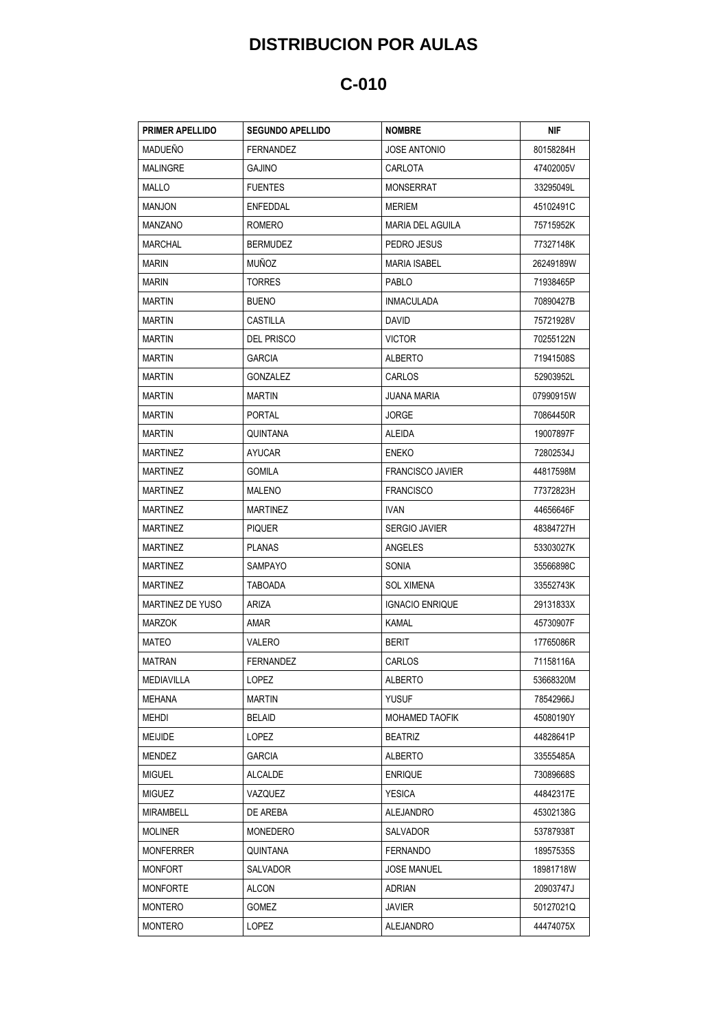## **DISTRIBUCION POR AULAS**

## **C-010**

| <b>PRIMER APELLIDO</b> | <b>SEGUNDO APELLIDO</b> | <b>NOMBRE</b>           | NIF       |
|------------------------|-------------------------|-------------------------|-----------|
| <b>MADUEÑO</b>         | <b>FERNANDEZ</b>        | <b>JOSE ANTONIO</b>     | 80158284H |
| <b>MALINGRE</b>        | <b>GAJINO</b>           | CARLOTA                 | 47402005V |
| MALLO                  | <b>FUENTES</b>          | <b>MONSERRAT</b>        | 33295049L |
| <b>MANJON</b>          | ENFEDDAL                | <b>MERIEM</b>           | 45102491C |
| <b>MANZANO</b>         | ROMERO                  | MARIA DEL AGUILA        | 75715952K |
| <b>MARCHAL</b>         | <b>BERMUDEZ</b>         | PEDRO JESUS             | 77327148K |
| <b>MARIN</b>           | <b>MUÑOZ</b>            | MARIA ISABEL            | 26249189W |
| <b>MARIN</b>           | <b>TORRES</b>           | PABLO                   | 71938465P |
| <b>MARTIN</b>          | <b>BUENO</b>            | <b>INMACULADA</b>       | 70890427B |
| <b>MARTIN</b>          | CASTILLA                | DAVID                   | 75721928V |
| <b>MARTIN</b>          | <b>DEL PRISCO</b>       | <b>VICTOR</b>           | 70255122N |
| <b>MARTIN</b>          | <b>GARCIA</b>           | <b>ALBERTO</b>          | 71941508S |
| <b>MARTIN</b>          | GONZALEZ                | <b>CARLOS</b>           | 52903952L |
| <b>MARTIN</b>          | MARTIN                  | JUANA MARIA             | 07990915W |
| <b>MARTIN</b>          | <b>PORTAL</b>           | <b>JORGE</b>            | 70864450R |
| <b>MARTIN</b>          | QUINTANA                | ALEIDA                  | 19007897F |
| <b>MARTINEZ</b>        | AYUCAR                  | <b>ENEKO</b>            | 72802534J |
| <b>MARTINEZ</b>        | <b>GOMILA</b>           | <b>FRANCISCO JAVIER</b> | 44817598M |
| <b>MARTINEZ</b>        | MALENO                  | <b>FRANCISCO</b>        | 77372823H |
| <b>MARTINEZ</b>        | <b>MARTINEZ</b>         | IVAN.                   | 44656646F |
| <b>MARTINEZ</b>        | <b>PIQUER</b>           | <b>SERGIO JAVIER</b>    | 48384727H |
| <b>MARTINEZ</b>        | <b>PLANAS</b>           | ANGELES                 | 53303027K |
| <b>MARTINEZ</b>        | SAMPAYO                 | <b>SONIA</b>            | 35566898C |
| MARTINEZ               | TABOADA                 | SOL XIMENA              | 33552743K |
| MARTINEZ DE YUSO       | ARIZA                   | <b>IGNACIO ENRIQUE</b>  | 29131833X |
| <b>MARZOK</b>          | AMAR                    | KAMAL                   | 45730907F |
| MATEO                  | VALERO                  | <b>BERIT</b>            | 17765086R |
| <b>MATRAN</b>          | <b>FERNANDEZ</b>        | CARLOS                  | 71158116A |
| MEDIAVILLA             | LOPEZ                   | <b>ALBERTO</b>          | 53668320M |
| MEHANA                 | <b>MARTIN</b>           | <b>YUSUF</b>            | 78542966J |
| MEHDI                  | <b>BELAID</b>           | MOHAMED TAOFIK          | 45080190Y |
| MEIJIDE                | LOPEZ                   | <b>BEATRIZ</b>          | 44828641P |
| MENDEZ                 | <b>GARCIA</b>           | <b>ALBERTO</b>          | 33555485A |
| <b>MIGUEL</b>          | ALCALDE                 | <b>ENRIQUE</b>          | 73089668S |
| <b>MIGUEZ</b>          | VAZQUEZ                 | <b>YESICA</b>           | 44842317E |
| MIRAMBELL              | DE AREBA                | <b>ALEJANDRO</b>        | 45302138G |
| <b>MOLINER</b>         | MONEDERO                | SALVADOR                | 53787938T |
| <b>MONFERRER</b>       | QUINTANA                | <b>FERNANDO</b>         | 18957535S |
| <b>MONFORT</b>         | SALVADOR                | <b>JOSE MANUEL</b>      | 18981718W |
| <b>MONFORTE</b>        | ALCON                   | ADRIAN                  | 20903747J |
| <b>MONTERO</b>         | GOMEZ                   | <b>JAVIER</b>           | 50127021Q |
| MONTERO                | LOPEZ                   | <b>ALEJANDRO</b>        | 44474075X |